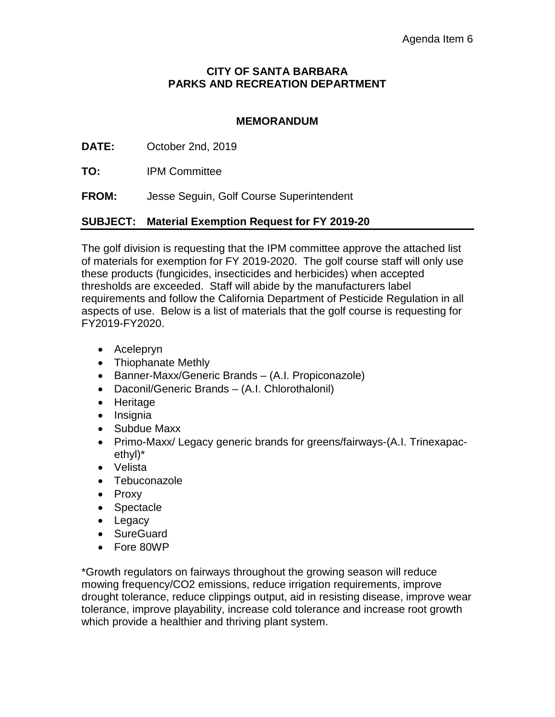## **CITY OF SANTA BARBARA PARKS AND RECREATION DEPARTMENT**

## **MEMORANDUM**

**DATE:** October 2nd, 2019

**TO:** IPM Committee

**FROM:** Jesse Seguin, Golf Course Superintendent

## **SUBJECT: Material Exemption Request for FY 2019-20**

The golf division is requesting that the IPM committee approve the attached list of materials for exemption for FY 2019-2020. The golf course staff will only use these products (fungicides, insecticides and herbicides) when accepted thresholds are exceeded. Staff will abide by the manufacturers label requirements and follow the California Department of Pesticide Regulation in all aspects of use. Below is a list of materials that the golf course is requesting for FY2019-FY2020.

- Acelepryn
- Thiophanate Methly
- Banner-Maxx/Generic Brands (A.I. Propiconazole)
- Daconil/Generic Brands (A.I. Chlorothalonil)
- Heritage
- Insignia
- Subdue Maxx
- Primo-Maxx/ Legacy generic brands for greens/fairways-(A.I. Trinexapacethyl)\*
- Velista
- Tebuconazole
- Proxy
- Spectacle
- Legacy
- SureGuard
- Fore 80WP

\*Growth regulators on fairways throughout the growing season will reduce mowing frequency/CO2 emissions, reduce irrigation requirements, improve drought tolerance, reduce clippings output, aid in resisting disease, improve wear tolerance, improve playability, increase cold tolerance and increase root growth which provide a healthier and thriving plant system.